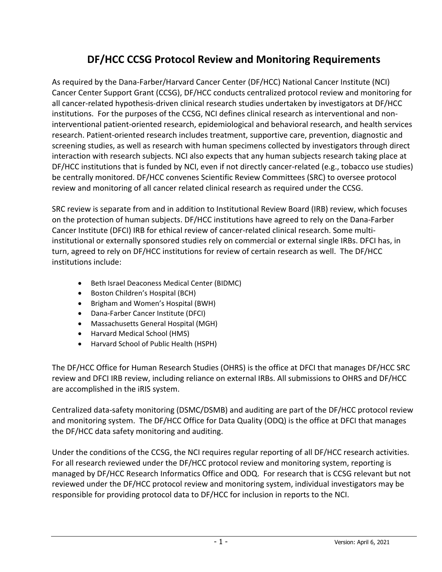# **DF/HCC CCSG Protocol Review and Monitoring Requirements**

As required by the Dana-Farber/Harvard Cancer Center (DF/HCC) National Cancer Institute (NCI) Cancer Center Support Grant (CCSG), DF/HCC conducts centralized protocol review and monitoring for all cancer-related hypothesis-driven clinical research studies undertaken by investigators at DF/HCC institutions. For the purposes of the CCSG, NCI defines clinical research as interventional and noninterventional patient-oriented research, epidemiological and behavioral research, and health services research. Patient-oriented research includes treatment, supportive care, prevention, diagnostic and screening studies, as well as research with human specimens collected by investigators through direct interaction with research subjects. NCI also expects that any human subjects research taking place at DF/HCC institutions that is funded by NCI, even if not directly cancer-related (e.g., tobacco use studies) be centrally monitored. DF/HCC convenes Scientific Review Committees (SRC) to oversee protocol review and monitoring of all cancer related clinical research as required under the CCSG.

SRC review is separate from and in addition to Institutional Review Board (IRB) review, which focuses on the protection of human subjects. DF/HCC institutions have agreed to rely on the Dana-Farber Cancer Institute (DFCI) IRB for ethical review of cancer-related clinical research. Some multiinstitutional or externally sponsored studies rely on commercial or external single IRBs. DFCI has, in turn, agreed to rely on DF/HCC institutions for review of certain research as well. The DF/HCC institutions include:

- Beth Israel Deaconess Medical Center (BIDMC)
- Boston Children's Hospital (BCH)
- Brigham and Women's Hospital (BWH)
- Dana-Farber Cancer Institute (DFCI)
- Massachusetts General Hospital (MGH)
- Harvard Medical School (HMS)
- Harvard School of Public Health (HSPH)

The DF/HCC Office for Human Research Studies (OHRS) is the office at DFCI that manages DF/HCC SRC review and DFCI IRB review, including reliance on external IRBs. All submissions to OHRS and DF/HCC are accomplished in the iRIS system.

Centralized data-safety monitoring (DSMC/DSMB) and auditing are part of the DF/HCC protocol review and monitoring system. The DF/HCC Office for Data Quality (ODQ) is the office at DFCI that manages the DF/HCC data safety monitoring and auditing.

Under the conditions of the CCSG, the NCI requires regular reporting of all DF/HCC research activities. For all research reviewed under the DF/HCC protocol review and monitoring system, reporting is managed by DF/HCC Research Informatics Office and ODQ. For research that is CCSG relevant but not reviewed under the DF/HCC protocol review and monitoring system, individual investigators may be responsible for providing protocol data to DF/HCC for inclusion in reports to the NCI.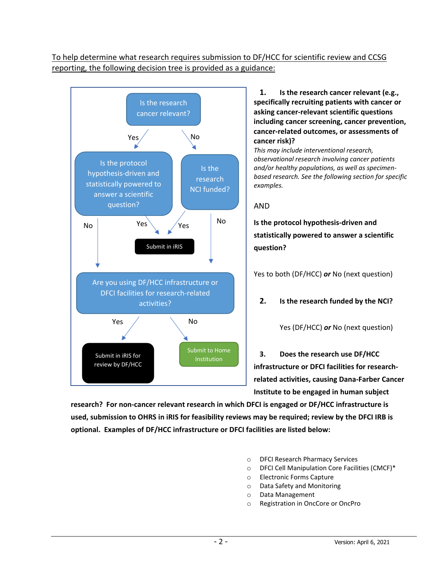# To help determine what research requires submission to DF/HCC for scientific review and CCSG reporting, the following decision tree is provided as a guidance:



**1. Is the research cancer relevant (e.g., specifically recruiting patients with cancer or asking cancer-relevant scientific questions including cancer screening, cancer prevention, cancer-related outcomes, or assessments of cancer risk)?** 

*This may include interventional research, observational research involving cancer patients and/or healthy populations, as well as specimenbased research. See the following section for specific examples.*

## AND

**Is the protocol hypothesis-driven and statistically powered to answer a scientific question?**

Yes to both (DF/HCC) *or* No (next question)

## **2. Is the research funded by the NCI?**

Yes (DF/HCC) *or* No (next question)

**3. Does the research use DF/HCC infrastructure or DFCI facilities for researchrelated activities, causing Dana-Farber Cancer Institute to be engaged in human subject** 

**research? For non-cancer relevant research in which DFCI is engaged or DF/HCC infrastructure is used, submission to OHRS in iRIS for feasibility reviews may be required; review by the DFCI IRB is optional. Examples of DF/HCC infrastructure or DFCI facilities are listed below:**

- o DFCI Research Pharmacy Services
- o DFCI Cell Manipulation Core Facilities (CMCF)\*
- o Electronic Forms Capture
- o Data Safety and Monitoring
- o Data Management
- o Registration in OncCore or OncPro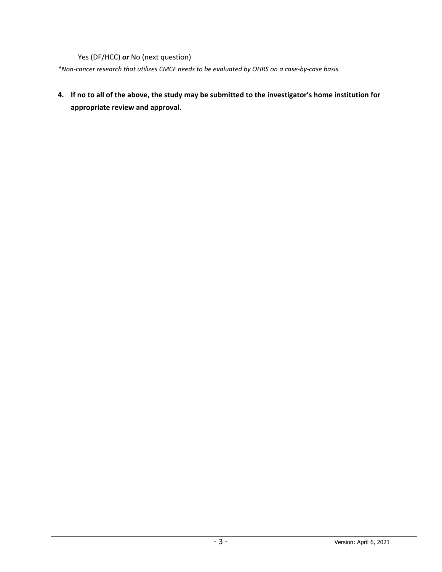Yes (DF/HCC) *or* No (next question)

*\*Non-cancer research that utilizes CMCF needs to be evaluated by OHRS on a case-by-case basis.*

**4. If no to all of the above, the study may be submitted to the investigator's home institution for appropriate review and approval.**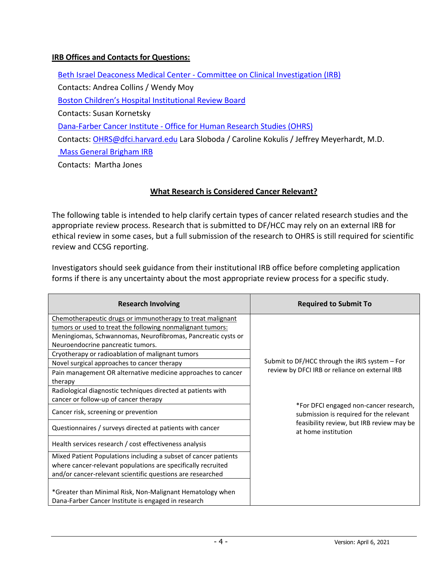# **IRB Offices and Contacts for Questions:**

Beth Israel Deaconess Medical Center - [Committee on Clinical Investigation \(IRB\)](https://www.bidmc.org/research/research-and-academic-affairs/clinical-research-at-bidmc/committee-on-clinical-investigation-irb) Contacts: Andrea Collins / Wendy Moy [Boston Children's Hospital Institutional Review Board](http://www.childrenshospital.org/research/institutional-review-board) Contacts: Susan Kornetsky [Dana-Farber Cancer Institute](http://www.dfhcc.harvard.edu/research/clinical-research-support/office-for-human-research-studies/) - Office for Human Research Studies (OHRS) Contacts: [OHRS@dfci.harvard.edu](mailto:OHRS@dfci.harvard.edu) Lara Sloboda / Caroline Kokulis / Jeffrey Meyerhardt, M.D. [Mass General Brigham IRB](https://www.partners.org/Medical-Research/Support-Offices/Human-Research-Committee-IRB/Default.aspx) Contacts: Martha Jones

## **What Research is Considered Cancer Relevant?**

The following table is intended to help clarify certain types of cancer related research studies and the appropriate review process. Research that is submitted to DF/HCC may rely on an external IRB for ethical review in some cases, but a full submission of the research to OHRS is still required for scientific review and CCSG reporting.

Investigators should seek guidance from their institutional IRB office before completing application forms if there is any uncertainty about the most appropriate review process for a specific study.

| <b>Research Involving</b>                                                                                                                                                                                                                                                                                                                                                                        | <b>Required to Submit To</b>                                                                                                   |
|--------------------------------------------------------------------------------------------------------------------------------------------------------------------------------------------------------------------------------------------------------------------------------------------------------------------------------------------------------------------------------------------------|--------------------------------------------------------------------------------------------------------------------------------|
| Chemotherapeutic drugs or immunotherapy to treat malignant<br>tumors or used to treat the following nonmalignant tumors:<br>Meningiomas, Schwannomas, Neurofibromas, Pancreatic cysts or<br>Neuroendocrine pancreatic tumors.<br>Cryotherapy or radioablation of malignant tumors<br>Novel surgical approaches to cancer therapy<br>Pain management OR alternative medicine approaches to cancer | Submit to DF/HCC through the iRIS system - For<br>review by DFCI IRB or reliance on external IRB                               |
| therapy<br>Radiological diagnostic techniques directed at patients with<br>cancer or follow-up of cancer therapy                                                                                                                                                                                                                                                                                 |                                                                                                                                |
| Cancer risk, screening or prevention                                                                                                                                                                                                                                                                                                                                                             | *For DFCI engaged non-cancer research,<br>submission is required for the relevant<br>feasibility review, but IRB review may be |
| Questionnaires / surveys directed at patients with cancer<br>Health services research / cost effectiveness analysis                                                                                                                                                                                                                                                                              | at home institution                                                                                                            |
| Mixed Patient Populations including a subset of cancer patients<br>where cancer-relevant populations are specifically recruited<br>and/or cancer-relevant scientific questions are researched                                                                                                                                                                                                    |                                                                                                                                |
| *Greater than Minimal Risk, Non-Malignant Hematology when<br>Dana-Farber Cancer Institute is engaged in research                                                                                                                                                                                                                                                                                 |                                                                                                                                |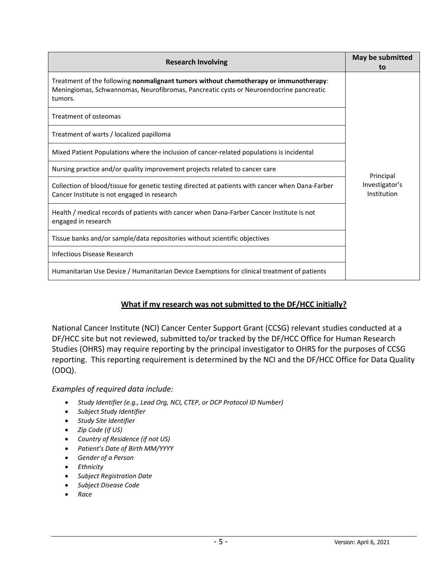| <b>Research Involving</b>                                                                                                                                                                  | May be submitted<br>to        |
|--------------------------------------------------------------------------------------------------------------------------------------------------------------------------------------------|-------------------------------|
| Treatment of the following nonmalignant tumors without chemotherapy or immunotherapy:<br>Meningiomas, Schwannomas, Neurofibromas, Pancreatic cysts or Neuroendocrine pancreatic<br>tumors. |                               |
| Treatment of osteomas                                                                                                                                                                      |                               |
| Treatment of warts / localized papilloma                                                                                                                                                   |                               |
| Mixed Patient Populations where the inclusion of cancer-related populations is incidental                                                                                                  |                               |
| Nursing practice and/or quality improvement projects related to cancer care                                                                                                                | Principal                     |
| Collection of blood/tissue for genetic testing directed at patients with cancer when Dana-Farber<br>Cancer Institute is not engaged in research                                            | Investigator's<br>Institution |
| Health / medical records of patients with cancer when Dana-Farber Cancer Institute is not<br>engaged in research                                                                           |                               |
| Tissue banks and/or sample/data repositories without scientific objectives                                                                                                                 |                               |
| Infectious Disease Research                                                                                                                                                                |                               |
| Humanitarian Use Device / Humanitarian Device Exemptions for clinical treatment of patients                                                                                                |                               |

# **What if my research was not submitted to the DF/HCC initially?**

National Cancer Institute (NCI) Cancer Center Support Grant (CCSG) relevant studies conducted at a DF/HCC site but not reviewed, submitted to/or tracked by the DF/HCC Office for Human Research Studies (OHRS) may require reporting by the principal investigator to OHRS for the purposes of CCSG reporting. This reporting requirement is determined by the NCI and the DF/HCC Office for Data Quality (ODQ).

## *Examples of required data include:*

- *Study Identifier (e.g., Lead Org, NCI, CTEP, or DCP Protocol ID Number)*
- *Subject Study Identifier*
- *Study Site Identifier*
- *Zip Code (if US)*
- *Country of Residence (if not US)*
- *Patient's Date of Birth MM/YYYY*
- *Gender of a Person*
- *Ethnicity*
- *Subject Registration Date*
- *Subject Disease Code*
- *Race*